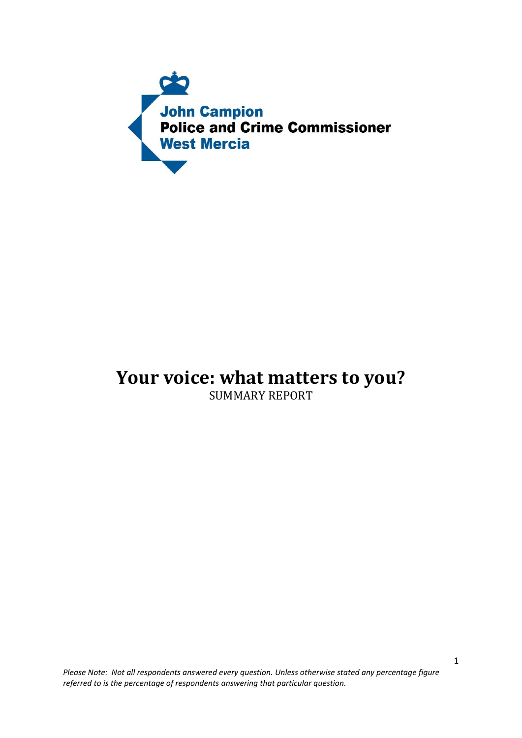

# **Your voice: what matters to you?**

SUMMARY REPORT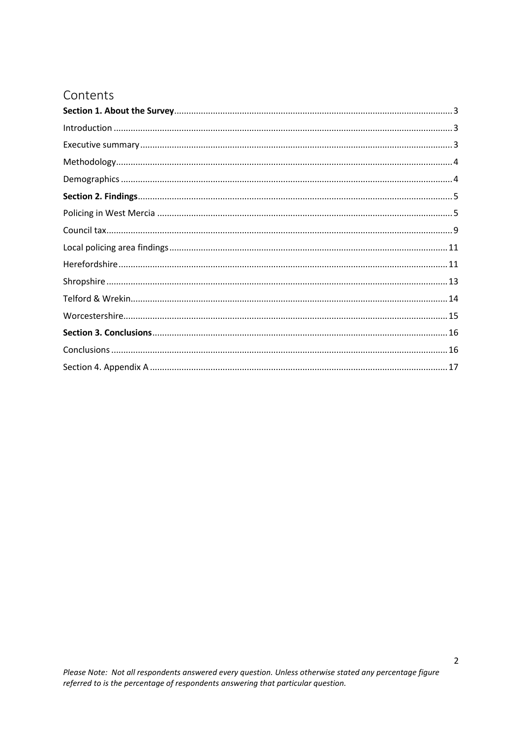# Contents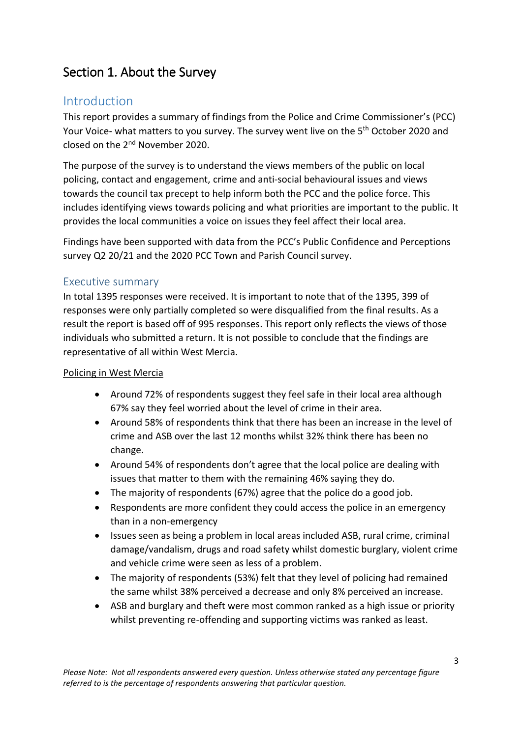# <span id="page-2-0"></span>Section 1. About the Survey

## <span id="page-2-1"></span>Introduction

This report provides a summary of findings from the Police and Crime Commissioner's (PCC) Your Voice- what matters to you survey. The survey went live on the 5<sup>th</sup> October 2020 and closed on the 2<sup>nd</sup> November 2020.

The purpose of the survey is to understand the views members of the public on local policing, contact and engagement, crime and anti-social behavioural issues and views towards the council tax precept to help inform both the PCC and the police force. This includes identifying views towards policing and what priorities are important to the public. It provides the local communities a voice on issues they feel affect their local area.

Findings have been supported with data from the PCC's Public Confidence and Perceptions survey Q2 20/21 and the 2020 PCC Town and Parish Council survey.

#### <span id="page-2-2"></span>Executive summary

In total 1395 responses were received. It is important to note that of the 1395, 399 of responses were only partially completed so were disqualified from the final results. As a result the report is based off of 995 responses. This report only reflects the views of those individuals who submitted a return. It is not possible to conclude that the findings are representative of all within West Mercia.

#### Policing in West Mercia

- Around 72% of respondents suggest they feel safe in their local area although 67% say they feel worried about the level of crime in their area.
- Around 58% of respondents think that there has been an increase in the level of crime and ASB over the last 12 months whilst 32% think there has been no change.
- Around 54% of respondents don't agree that the local police are dealing with issues that matter to them with the remaining 46% saying they do.
- The majority of respondents (67%) agree that the police do a good job.
- Respondents are more confident they could access the police in an emergency than in a non-emergency
- Issues seen as being a problem in local areas included ASB, rural crime, criminal damage/vandalism, drugs and road safety whilst domestic burglary, violent crime and vehicle crime were seen as less of a problem.
- The majority of respondents (53%) felt that they level of policing had remained the same whilst 38% perceived a decrease and only 8% perceived an increase.
- ASB and burglary and theft were most common ranked as a high issue or priority whilst preventing re-offending and supporting victims was ranked as least.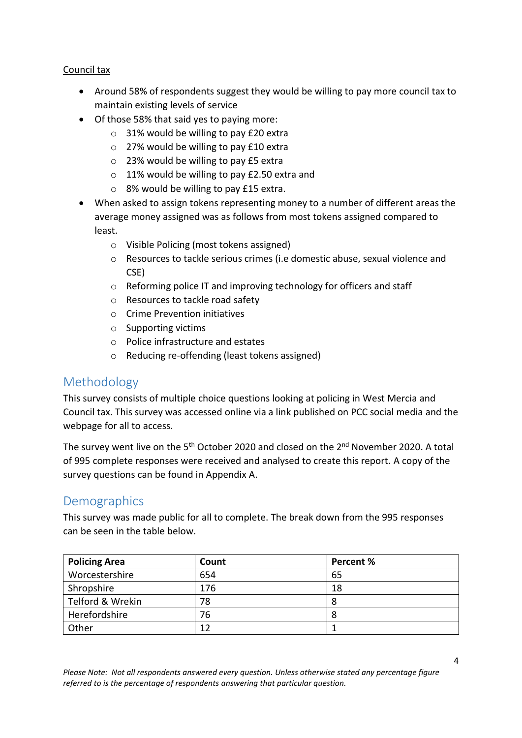#### Council tax

- Around 58% of respondents suggest they would be willing to pay more council tax to maintain existing levels of service
- Of those 58% that said yes to paying more:
	- o 31% would be willing to pay £20 extra
	- o 27% would be willing to pay £10 extra
	- o 23% would be willing to pay £5 extra
	- o 11% would be willing to pay £2.50 extra and
	- o 8% would be willing to pay £15 extra.
- When asked to assign tokens representing money to a number of different areas the average money assigned was as follows from most tokens assigned compared to least.
	- o Visible Policing (most tokens assigned)
	- o Resources to tackle serious crimes (i.e domestic abuse, sexual violence and CSE)
	- o Reforming police IT and improving technology for officers and staff
	- o Resources to tackle road safety
	- o Crime Prevention initiatives
	- o Supporting victims
	- o Police infrastructure and estates
	- o Reducing re-offending (least tokens assigned)

### <span id="page-3-0"></span>Methodology

This survey consists of multiple choice questions looking at policing in West Mercia and Council tax. This survey was accessed online via a link published on PCC social media and the webpage for all to access.

The survey went live on the 5<sup>th</sup> October 2020 and closed on the 2<sup>nd</sup> November 2020. A total of 995 complete responses were received and analysed to create this report. A copy of the survey questions can be found in Appendix A.

### <span id="page-3-1"></span>**Demographics**

This survey was made public for all to complete. The break down from the 995 responses can be seen in the table below.

| <b>Policing Area</b> | Count | Percent % |
|----------------------|-------|-----------|
| Worcestershire       | 654   | 65        |
| Shropshire           | 176   | 18        |
| Telford & Wrekin     | 78    | 8         |
| Herefordshire        | 76    | 8         |
| Other                | 12    |           |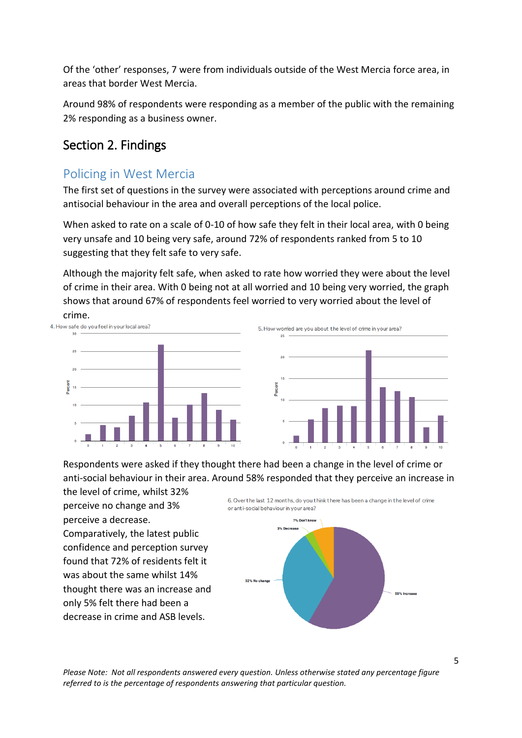Of the 'other' responses, 7 were from individuals outside of the West Mercia force area, in areas that border West Mercia.

Around 98% of respondents were responding as a member of the public with the remaining 2% responding as a business owner.

# <span id="page-4-0"></span>Section 2. Findings

# <span id="page-4-1"></span>Policing in West Mercia

The first set of questions in the survey were associated with perceptions around crime and antisocial behaviour in the area and overall perceptions of the local police.

When asked to rate on a scale of 0-10 of how safe they felt in their local area, with 0 being very unsafe and 10 being very safe, around 72% of respondents ranked from 5 to 10 suggesting that they felt safe to very safe.

Although the majority felt safe, when asked to rate how worried they were about the level of crime in their area. With 0 being not at all worried and 10 being very worried, the graph shows that around 67% of respondents feel worried to very worried about the level of



Respondents were asked if they thought there had been a change in the level of crime or anti-social behaviour in their area. Around 58% responded that they perceive an increase in

the level of crime, whilst 32% perceive no change and 3% perceive a decrease. Comparatively, the latest public confidence and perception survey found that 72% of residents felt it was about the same whilst 14% thought there was an increase and only 5% felt there had been a decrease in crime and ASB levels.

6. Over the last 12 months, do you think there has been a change in the level of crime or anti-social behaviour in your area?

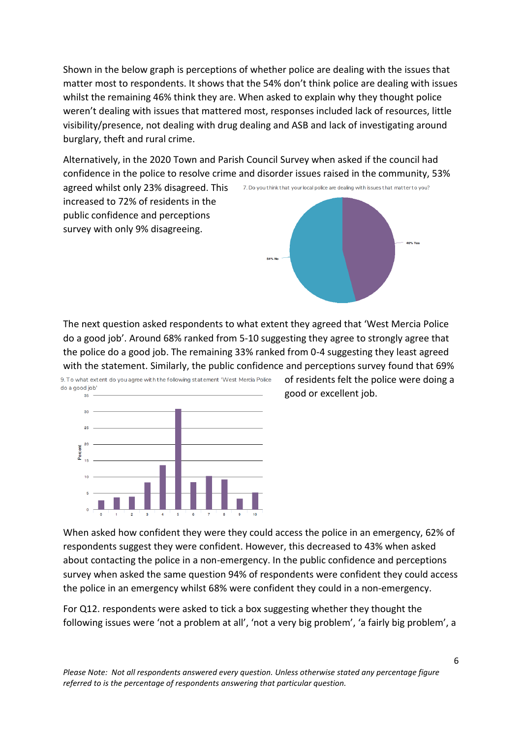Shown in the below graph is perceptions of whether police are dealing with the issues that matter most to respondents. It shows that the 54% don't think police are dealing with issues whilst the remaining 46% think they are. When asked to explain why they thought police weren't dealing with issues that mattered most, responses included lack of resources, little visibility/presence, not dealing with drug dealing and ASB and lack of investigating around burglary, theft and rural crime.

Alternatively, in the 2020 Town and Parish Council Survey when asked if the council had confidence in the police to resolve crime and disorder issues raised in the community, 53%

agreed whilst only 23% disagreed. This increased to 72% of residents in the public confidence and perceptions survey with only 9% disagreeing.



The next question asked respondents to what extent they agreed that 'West Mercia Police do a good job'. Around 68% ranked from 5-10 suggesting they agree to strongly agree that the police do a good job. The remaining 33% ranked from 0-4 suggesting they least agreed with the statement. Similarly, the public confidence and perceptions survey found that 69%



9. To what extent do you agree with the following statement 'West Mercia Police

of residents felt the police were doing a good or excellent job.

When asked how confident they were they could access the police in an emergency, 62% of respondents suggest they were confident. However, this decreased to 43% when asked about contacting the police in a non-emergency. In the public confidence and perceptions survey when asked the same question 94% of respondents were confident they could access the police in an emergency whilst 68% were confident they could in a non-emergency.

For Q12. respondents were asked to tick a box suggesting whether they thought the following issues were 'not a problem at all', 'not a very big problem', 'a fairly big problem', a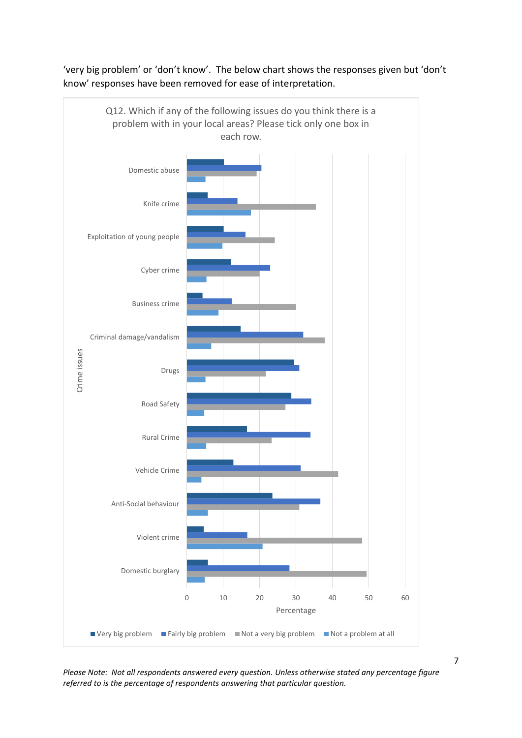

'very big problem' or 'don't know'. The below chart shows the responses given but 'don't know' responses have been removed for ease of interpretation.

*Please Note: Not all respondents answered every question. Unless otherwise stated any percentage figure referred to is the percentage of respondents answering that particular question.*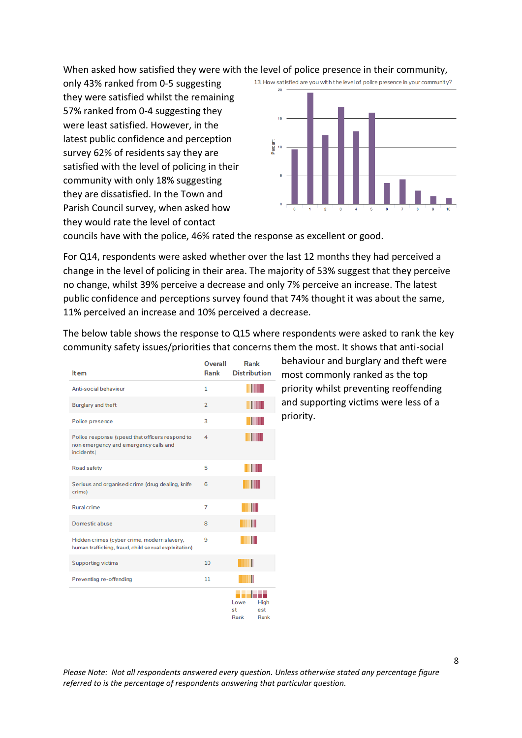When asked how satisfied they were with the level of police presence in their community,

only 43% ranked from 0-5 suggesting they were satisfied whilst the remaining 57% ranked from 0-4 suggesting they were least satisfied. However, in the latest public confidence and perception survey 62% of residents say they are satisfied with the level of policing in their community with only 18% suggesting they are dissatisfied. In the Town and Parish Council survey, when asked how they would rate the level of contact



councils have with the police, 46% rated the response as excellent or good.

For Q14, respondents were asked whether over the last 12 months they had perceived a change in the level of policing in their area. The majority of 53% suggest that they perceive no change, whilst 39% perceive a decrease and only 7% perceive an increase. The latest public confidence and perceptions survey found that 74% thought it was about the same, 11% perceived an increase and 10% perceived a decrease.

| <b>Item</b>                                                                                            | <b>Overall</b><br>Rank | Rank<br><b>Distribution</b>               | ł<br>r |
|--------------------------------------------------------------------------------------------------------|------------------------|-------------------------------------------|--------|
| Anti-social behaviour                                                                                  | 1                      |                                           |        |
| Burglary and theft                                                                                     | $\overline{2}$         | THE R                                     | ć      |
| Police presence                                                                                        | 3                      |                                           | ŗ      |
| Police response (speed that officers respond to<br>non emergency and emergency calls and<br>incidents) | 4                      | W                                         |        |
| Road safety                                                                                            | 5                      |                                           |        |
| Serious and organised crime (drug dealing, knife<br>crime)                                             | 6                      | ш                                         |        |
| <b>Rural crime</b>                                                                                     | 7                      | Ш                                         |        |
| Domestic abuse                                                                                         | 8                      | Ш                                         |        |
| Hidden crimes (cyber crime, modern slavery,<br>human trafficking, fraud, child sexual exploitation)    | 9                      | Ш                                         |        |
| <b>Supporting victims</b>                                                                              | 10                     |                                           |        |
| Preventing re-offending                                                                                | 11                     |                                           |        |
|                                                                                                        |                        | Lowe<br>High<br>st<br>est<br>Rank<br>Rank |        |

The below table shows the response to Q15 where respondents were asked to rank the key community safety issues/priorities that concerns them the most. It shows that anti-social

> behaviour and burglary and theft were most commonly ranked as the top priority whilst preventing reoffending and supporting victims were less of a priority.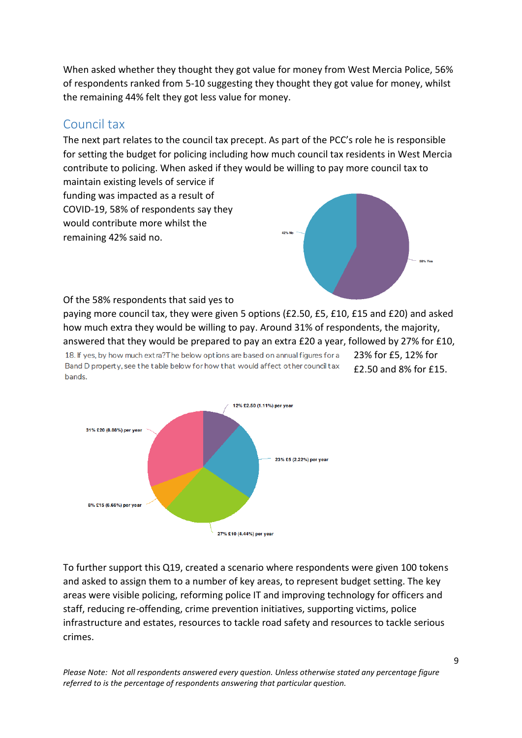When asked whether they thought they got value for money from West Mercia Police, 56% of respondents ranked from 5-10 suggesting they thought they got value for money, whilst the remaining 44% felt they got less value for money.

# <span id="page-8-0"></span>Council tax

The next part relates to the council tax precept. As part of the PCC's role he is responsible for setting the budget for policing including how much council tax residents in West Mercia contribute to policing. When asked if they would be willing to pay more council tax to

maintain existing levels of service if funding was impacted as a result of COVID-19, 58% of respondents say they would contribute more whilst the remaining 42% said no.



Of the 58% respondents that said yes to

paying more council tax, they were given 5 options (£2.50, £5, £10, £15 and £20) and asked how much extra they would be willing to pay. Around 31% of respondents, the majority, answered that they would be prepared to pay an extra £20 a year, followed by 27% for £10,

18. If yes, by how much extra? The below options are based on annual figures for a Band D property, see the table below for how that would affect other council tax bands.

23% for £5, 12% for £2.50 and 8% for £15.



To further support this Q19, created a scenario where respondents were given 100 tokens and asked to assign them to a number of key areas, to represent budget setting. The key areas were visible policing, reforming police IT and improving technology for officers and staff, reducing re-offending, crime prevention initiatives, supporting victims, police infrastructure and estates, resources to tackle road safety and resources to tackle serious crimes.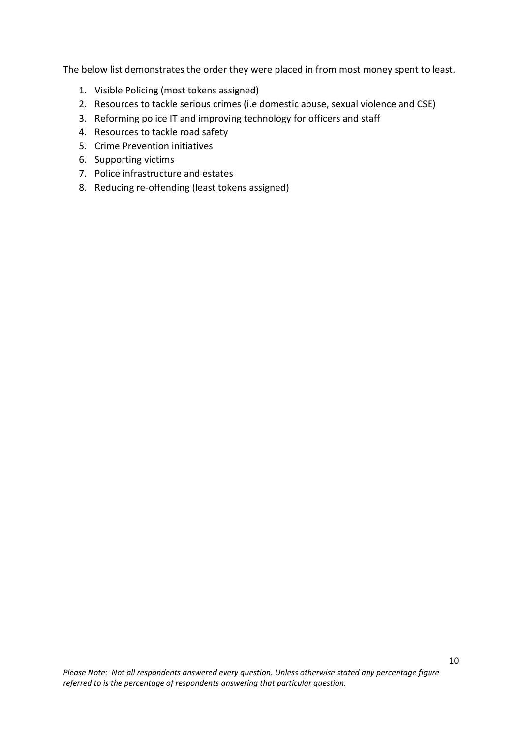The below list demonstrates the order they were placed in from most money spent to least.

- 1. Visible Policing (most tokens assigned)
- 2. Resources to tackle serious crimes (i.e domestic abuse, sexual violence and CSE)
- 3. Reforming police IT and improving technology for officers and staff
- 4. Resources to tackle road safety
- 5. Crime Prevention initiatives
- 6. Supporting victims
- 7. Police infrastructure and estates
- 8. Reducing re-offending (least tokens assigned)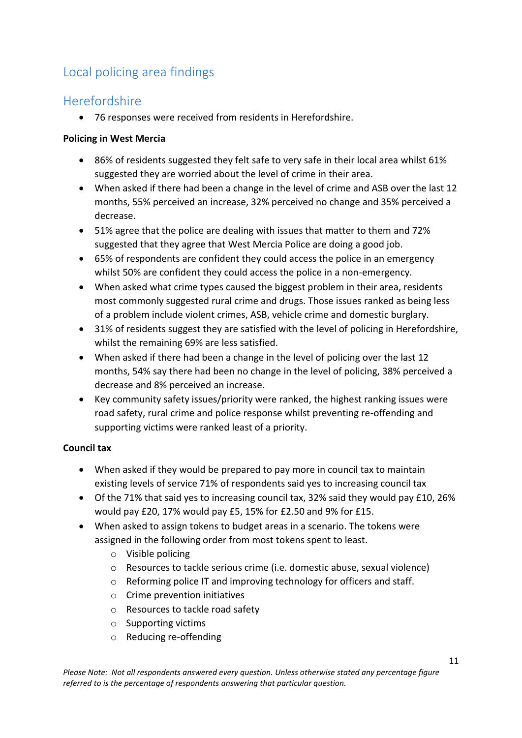# <span id="page-10-0"></span>Local policing area findings

# <span id="page-10-1"></span>Herefordshire

76 responses were received from residents in Herefordshire.

#### **Policing in West Mercia**

- 86% of residents suggested they felt safe to very safe in their local area whilst 61% suggested they are worried about the level of crime in their area.
- When asked if there had been a change in the level of crime and ASB over the last 12 months, 55% perceived an increase, 32% perceived no change and 35% perceived a decrease.
- 51% agree that the police are dealing with issues that matter to them and 72% suggested that they agree that West Mercia Police are doing a good job.
- 65% of respondents are confident they could access the police in an emergency whilst 50% are confident they could access the police in a non-emergency.
- When asked what crime types caused the biggest problem in their area, residents most commonly suggested rural crime and drugs. Those issues ranked as being less of a problem include violent crimes, ASB, vehicle crime and domestic burglary.
- 31% of residents suggest they are satisfied with the level of policing in Herefordshire, whilst the remaining 69% are less satisfied.
- When asked if there had been a change in the level of policing over the last 12 months, 54% say there had been no change in the level of policing, 38% perceived a decrease and 8% perceived an increase.
- Key community safety issues/priority were ranked, the highest ranking issues were road safety, rural crime and police response whilst preventing re-offending and supporting victims were ranked least of a priority.

#### **Council tax**

- When asked if they would be prepared to pay more in council tax to maintain existing levels of service 71% of respondents said yes to increasing council tax
- Of the 71% that said yes to increasing council tax, 32% said they would pay £10, 26% would pay £20, 17% would pay £5, 15% for £2.50 and 9% for £15.
- When asked to assign tokens to budget areas in a scenario. The tokens were assigned in the following order from most tokens spent to least.
	- o Visible policing
	- o Resources to tackle serious crime (i.e. domestic abuse, sexual violence)
	- o Reforming police IT and improving technology for officers and staff.
	- o Crime prevention initiatives
	- o Resources to tackle road safety
	- o Supporting victims
	- o Reducing re-offending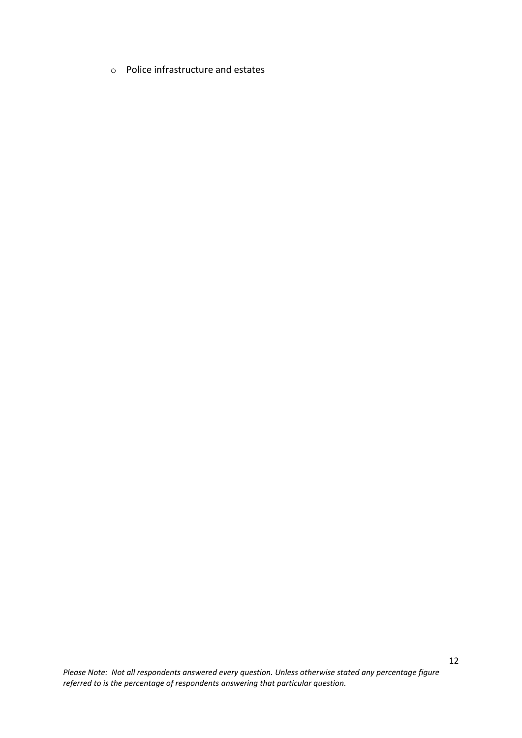o Police infrastructure and estates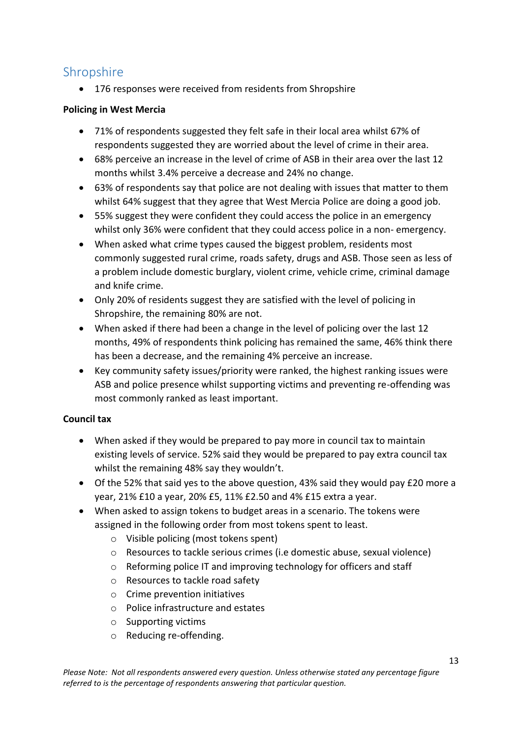# <span id="page-12-0"></span>Shropshire

176 responses were received from residents from Shropshire

#### **Policing in West Mercia**

- 71% of respondents suggested they felt safe in their local area whilst 67% of respondents suggested they are worried about the level of crime in their area.
- 68% perceive an increase in the level of crime of ASB in their area over the last 12 months whilst 3.4% perceive a decrease and 24% no change.
- 63% of respondents say that police are not dealing with issues that matter to them whilst 64% suggest that they agree that West Mercia Police are doing a good job.
- 55% suggest they were confident they could access the police in an emergency whilst only 36% were confident that they could access police in a non- emergency.
- When asked what crime types caused the biggest problem, residents most commonly suggested rural crime, roads safety, drugs and ASB. Those seen as less of a problem include domestic burglary, violent crime, vehicle crime, criminal damage and knife crime.
- Only 20% of residents suggest they are satisfied with the level of policing in Shropshire, the remaining 80% are not.
- When asked if there had been a change in the level of policing over the last 12 months, 49% of respondents think policing has remained the same, 46% think there has been a decrease, and the remaining 4% perceive an increase.
- Key community safety issues/priority were ranked, the highest ranking issues were ASB and police presence whilst supporting victims and preventing re-offending was most commonly ranked as least important.

#### **Council tax**

- When asked if they would be prepared to pay more in council tax to maintain existing levels of service. 52% said they would be prepared to pay extra council tax whilst the remaining 48% say they wouldn't.
- Of the 52% that said yes to the above question, 43% said they would pay £20 more a year, 21% £10 a year, 20% £5, 11% £2.50 and 4% £15 extra a year.
- When asked to assign tokens to budget areas in a scenario. The tokens were assigned in the following order from most tokens spent to least.
	- o Visible policing (most tokens spent)
	- o Resources to tackle serious crimes (i.e domestic abuse, sexual violence)
	- o Reforming police IT and improving technology for officers and staff
	- o Resources to tackle road safety
	- o Crime prevention initiatives
	- o Police infrastructure and estates
	- o Supporting victims
	- o Reducing re-offending.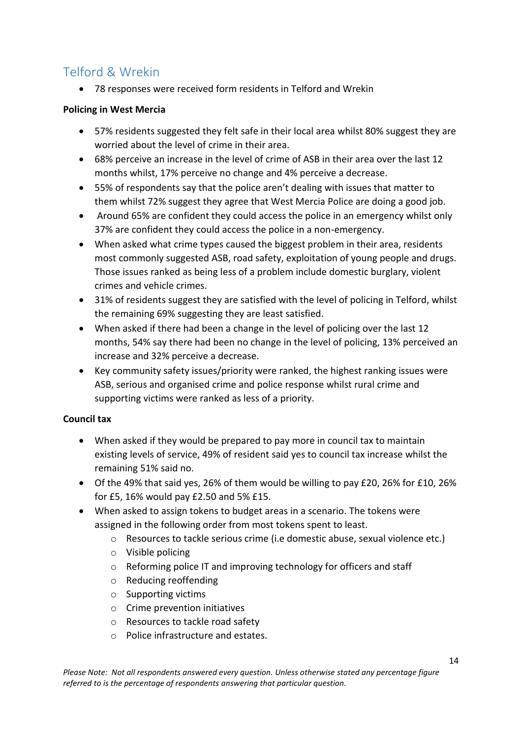# <span id="page-13-0"></span>Telford & Wrekin

78 responses were received form residents in Telford and Wrekin

#### **Policing in West Mercia**

- 57% residents suggested they felt safe in their local area whilst 80% suggest they are worried about the level of crime in their area.
- 68% perceive an increase in the level of crime of ASB in their area over the last 12 months whilst, 17% perceive no change and 4% perceive a decrease.
- 55% of respondents say that the police aren't dealing with issues that matter to them whilst 72% suggest they agree that West Mercia Police are doing a good job.
- Around 65% are confident they could access the police in an emergency whilst only 37% are confident they could access the police in a non-emergency.
- When asked what crime types caused the biggest problem in their area, residents most commonly suggested ASB, road safety, exploitation of young people and drugs. Those issues ranked as being less of a problem include domestic burglary, violent crimes and vehicle crimes.
- 31% of residents suggest they are satisfied with the level of policing in Telford, whilst the remaining 69% suggesting they are least satisfied.
- When asked if there had been a change in the level of policing over the last 12 months, 54% say there had been no change in the level of policing, 13% perceived an increase and 32% perceive a decrease.
- Key community safety issues/priority were ranked, the highest ranking issues were ASB, serious and organised crime and police response whilst rural crime and supporting victims were ranked as less of a priority.

#### **Council tax**

- When asked if they would be prepared to pay more in council tax to maintain existing levels of service, 49% of resident said yes to council tax increase whilst the remaining 51% said no.
- Of the 49% that said yes, 26% of them would be willing to pay £20, 26% for £10, 26% for £5, 16% would pay £2.50 and 5% £15.
- When asked to assign tokens to budget areas in a scenario. The tokens were assigned in the following order from most tokens spent to least.
	- o Resources to tackle serious crime (i.e domestic abuse, sexual violence etc.)
	- o Visible policing
	- o Reforming police IT and improving technology for officers and staff
	- o Reducing reoffending
	- o Supporting victims
	- o Crime prevention initiatives
	- o Resources to tackle road safety
	- o Police infrastructure and estates.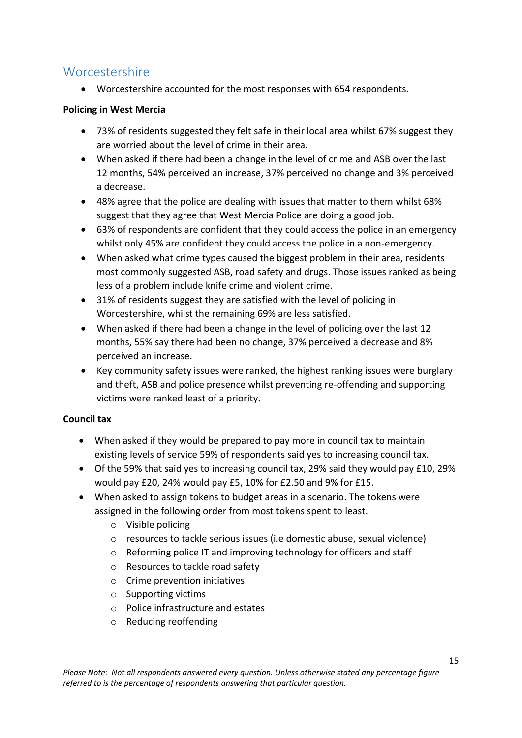### <span id="page-14-0"></span>Worcestershire

Worcestershire accounted for the most responses with 654 respondents.

#### **Policing in West Mercia**

- 73% of residents suggested they felt safe in their local area whilst 67% suggest they are worried about the level of crime in their area.
- When asked if there had been a change in the level of crime and ASB over the last 12 months, 54% perceived an increase, 37% perceived no change and 3% perceived a decrease.
- 48% agree that the police are dealing with issues that matter to them whilst 68% suggest that they agree that West Mercia Police are doing a good job.
- 63% of respondents are confident that they could access the police in an emergency whilst only 45% are confident they could access the police in a non-emergency.
- When asked what crime types caused the biggest problem in their area, residents most commonly suggested ASB, road safety and drugs. Those issues ranked as being less of a problem include knife crime and violent crime.
- 31% of residents suggest they are satisfied with the level of policing in Worcestershire, whilst the remaining 69% are less satisfied.
- When asked if there had been a change in the level of policing over the last 12 months, 55% say there had been no change, 37% perceived a decrease and 8% perceived an increase.
- Key community safety issues were ranked, the highest ranking issues were burglary and theft, ASB and police presence whilst preventing re-offending and supporting victims were ranked least of a priority.

#### **Council tax**

- When asked if they would be prepared to pay more in council tax to maintain existing levels of service 59% of respondents said yes to increasing council tax.
- Of the 59% that said yes to increasing council tax, 29% said they would pay £10, 29% would pay £20, 24% would pay £5, 10% for £2.50 and 9% for £15.
- When asked to assign tokens to budget areas in a scenario. The tokens were assigned in the following order from most tokens spent to least.
	- o Visible policing
	- o resources to tackle serious issues (i.e domestic abuse, sexual violence)
	- o Reforming police IT and improving technology for officers and staff
	- o Resources to tackle road safety
	- o Crime prevention initiatives
	- o Supporting victims
	- o Police infrastructure and estates
	- o Reducing reoffending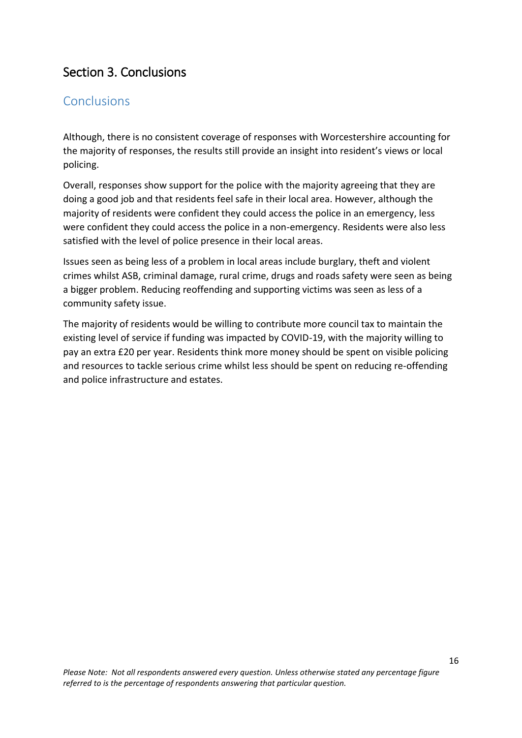# <span id="page-15-0"></span>Section 3. Conclusions

### <span id="page-15-1"></span>**Conclusions**

Although, there is no consistent coverage of responses with Worcestershire accounting for the majority of responses, the results still provide an insight into resident's views or local policing.

Overall, responses show support for the police with the majority agreeing that they are doing a good job and that residents feel safe in their local area. However, although the majority of residents were confident they could access the police in an emergency, less were confident they could access the police in a non-emergency. Residents were also less satisfied with the level of police presence in their local areas.

Issues seen as being less of a problem in local areas include burglary, theft and violent crimes whilst ASB, criminal damage, rural crime, drugs and roads safety were seen as being a bigger problem. Reducing reoffending and supporting victims was seen as less of a community safety issue.

The majority of residents would be willing to contribute more council tax to maintain the existing level of service if funding was impacted by COVID-19, with the majority willing to pay an extra £20 per year. Residents think more money should be spent on visible policing and resources to tackle serious crime whilst less should be spent on reducing re-offending and police infrastructure and estates.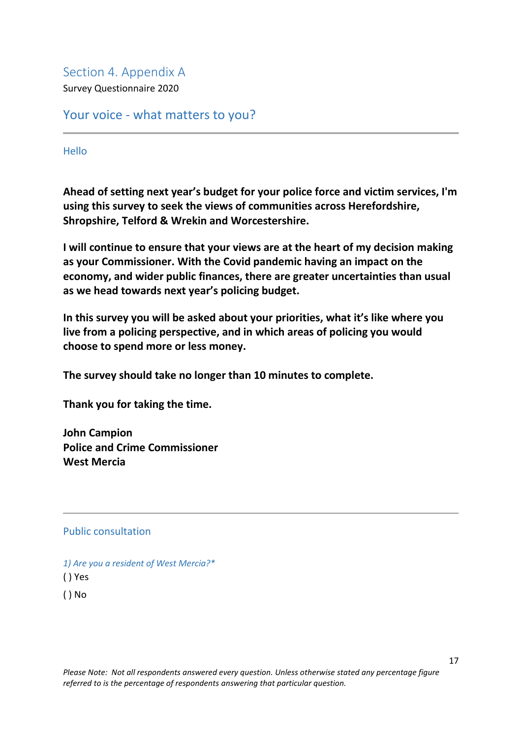<span id="page-16-0"></span>Section 4. Appendix A Survey Questionnaire 2020

Your voice - what matters to you?

Hello

**Ahead of setting next year's budget for your police force and victim services, I'm using this survey to seek the views of communities across Herefordshire, Shropshire, Telford & Wrekin and Worcestershire.**

**I will continue to ensure that your views are at the heart of my decision making as your Commissioner. With the Covid pandemic having an impact on the economy, and wider public finances, there are greater uncertainties than usual as we head towards next year's policing budget.**

**In this survey you will be asked about your priorities, what it's like where you live from a policing perspective, and in which areas of policing you would choose to spend more or less money.**

**The survey should take no longer than 10 minutes to complete.**

**Thank you for taking the time.**

**John Campion Police and Crime Commissioner West Mercia**

#### Public consultation

*1) Are you a resident of West Mercia?\** ( ) Yes ( ) No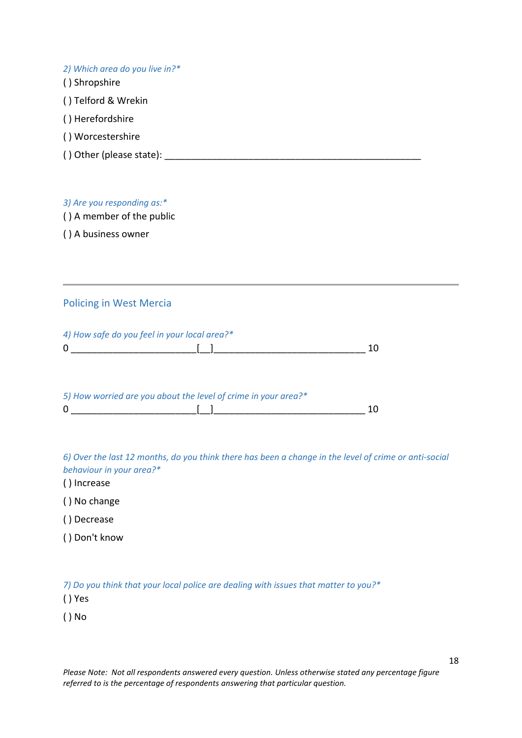| 2) Which area do you live in?* |
|--------------------------------|
| () Shropshire                  |
| () Telford & Wrekin            |
| () Herefordshire               |
| () Worcestershire              |
| () Other (please state):       |
|                                |

*3) Are you responding as:\**

( ) A member of the public

( ) A business owner

#### Policing in West Mercia

| 4) How safe do you feel in your local area?* |  |
|----------------------------------------------|--|
|                                              |  |

| 5) How worried are you about the level of crime in your area?* |    |
|----------------------------------------------------------------|----|
|                                                                | 10 |

*6) Over the last 12 months, do you think there has been a change in the level of crime or anti-social behaviour in your area?\**

( ) Increase

( ) No change

( ) Decrease

( ) Don't know

*7) Do you think that your local police are dealing with issues that matter to you?\**

( ) Yes

( ) No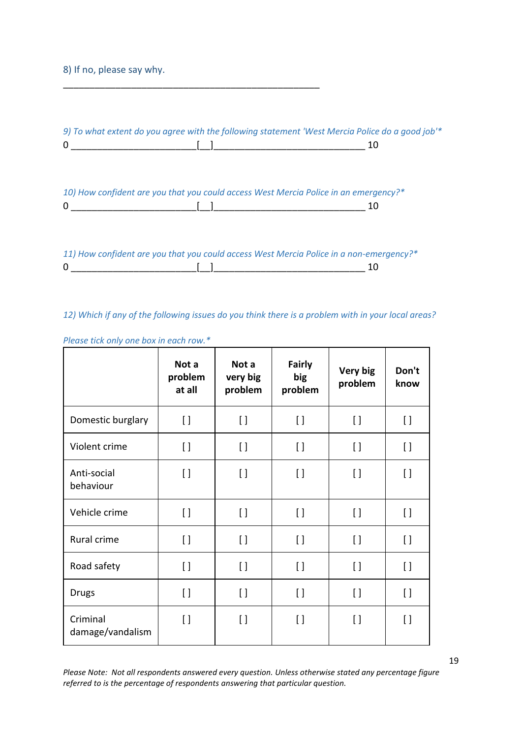#### 8) If no, please say why.

\_\_\_\_\_\_\_\_\_\_\_\_\_\_\_\_\_\_\_\_\_\_\_\_\_\_\_\_\_\_\_\_\_\_\_\_\_\_\_\_\_\_\_\_\_\_\_\_\_

|              | 10) How confident are you that you could access West Mercia Police in an emergency?*<br>-10 |
|--------------|---------------------------------------------------------------------------------------------|
| $\mathbf{0}$ | 11) How confident are you that you could access West Mercia Police in a non-emergency?*     |

#### *12) Which if any of the following issues do you think there is a problem with in your local areas?*

|                              | Not a<br>problem<br>at all | Not a<br>very big<br>problem | <b>Fairly</b><br>big<br>problem        | Very big<br>problem                    | Don't<br>know   |
|------------------------------|----------------------------|------------------------------|----------------------------------------|----------------------------------------|-----------------|
| Domestic burglary            | $\left[\right]$            | $[ \ ]$                      | $\begin{array}{c} \square \end{array}$ | $\left[ \ \right]$                     | $\left[\right]$ |
| Violent crime                | $[ \ ]$                    | $\left[\right]$              | $\Box$                                 | $\left[ \ \right]$                     | $\left[\right]$ |
| Anti-social<br>behaviour     | $\left[\right]$            | $\lceil$                     | $\left[\right]$                        | $\Box$                                 | $\left[\right]$ |
| Vehicle crime                | $\left[\right]$            | $\Box$                       | $\left[\right]$                        | $\Box$                                 | $\left[\right]$ |
| Rural crime                  | $[ \ ]$                    | $[ \ ]$                      | $\lceil$                               | $\left[\right]$                        | $[ \ ]$         |
| Road safety                  | $[ \ ]$                    | $\lceil$                     | $\left[ \ \right]$                     | $\left[\right]$                        | $\left[\right]$ |
| <b>Drugs</b>                 | $\left[ \ \right]$         | $\lceil$                     | $\left[\right]$                        | $\begin{array}{c} \square \end{array}$ | $\left[\right]$ |
| Criminal<br>damage/vandalism | $[ \ ]$                    | $\left[\right]$              | $\left[\right]$                        | $\left[\right]$                        | $[ \ ]$         |

*Please tick only one box in each row.\**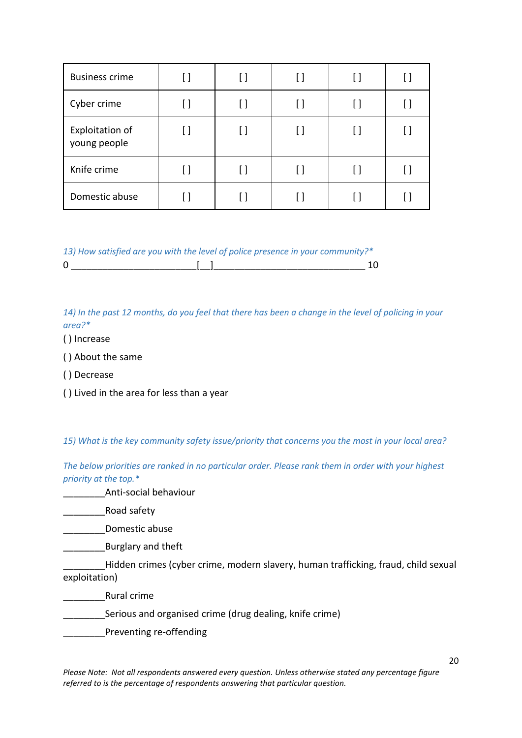| <b>Business crime</b>           | l I |    | U                  | [] |              |
|---------------------------------|-----|----|--------------------|----|--------------|
| Cyber crime                     | [ ] |    | []                 | [] | $\mathsf{L}$ |
| Exploitation of<br>young people | []  | [] | $\left[ \ \right]$ | [] | []           |
| Knife crime                     | [ ] |    | $\lceil$ $\rceil$  | [] |              |
| Domestic abuse                  |     |    |                    | IJ |              |

*13) How satisfied are you with the level of police presence in your community?\** 0 \_\_\_\_\_\_\_\_\_\_\_\_\_\_\_\_\_\_\_\_\_\_\_\_[\_\_]\_\_\_\_\_\_\_\_\_\_\_\_\_\_\_\_\_\_\_\_\_\_\_\_\_\_\_\_\_ 10

*14) In the past 12 months, do you feel that there has been a change in the level of policing in your area?\**

( ) Increase

( ) About the same

( ) Decrease

( ) Lived in the area for less than a year

*15) What is the key community safety issue/priority that concerns you the most in your local area?*

*The below priorities are ranked in no particular order. Please rank them in order with your highest priority at the top.\**

\_\_\_\_\_\_\_\_Anti-social behaviour

\_\_\_\_\_\_\_\_Road safety

\_\_\_\_\_\_\_\_Domestic abuse

\_\_\_\_\_\_\_\_Burglary and theft

Hidden crimes (cyber crime, modern slavery, human trafficking, fraud, child sexual exploitation)

\_\_\_\_\_\_\_\_Rural crime

Serious and organised crime (drug dealing, knife crime)

\_\_\_\_\_\_\_\_Preventing re-offending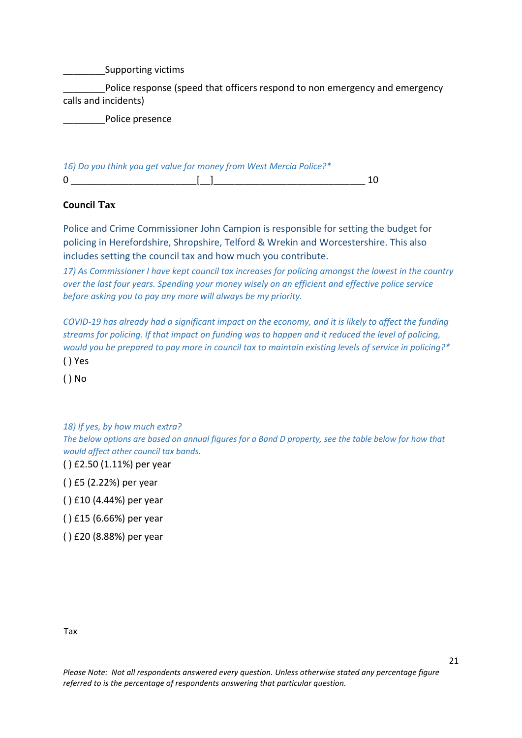\_\_\_\_\_\_\_\_Supporting victims

Police response (speed that officers respond to non emergency and emergency calls and incidents)

Police presence

| 16) Do you think you get value for money from West Mercia Police?* |  |
|--------------------------------------------------------------------|--|
|                                                                    |  |

#### **Council Tax**

Police and Crime Commissioner John Campion is responsible for setting the budget for policing in Herefordshire, Shropshire, Telford & Wrekin and Worcestershire. This also includes setting the council tax and how much you contribute.

*17) As Commissioner I have kept council tax increases for policing amongst the lowest in the country over the last four years. Spending your money wisely on an efficient and effective police service before asking you to pay any more will always be my priority.*

*COVID-19 has already had a significant impact on the economy, and it is likely to affect the funding streams for policing. If that impact on funding was to happen and it reduced the level of policing, would you be prepared to pay more in council tax to maintain existing levels of service in policing?\** ( ) Yes

( ) No

*18) If yes, by how much extra?*

*The below options are based on annual figures for a Band D property, see the table below for how that would affect other council tax bands.*

( ) £2.50 (1.11%) per year

( ) £5 (2.22%) per year

( ) £10 (4.44%) per year

( ) £15 (6.66%) per year

( ) £20 (8.88%) per year

Tax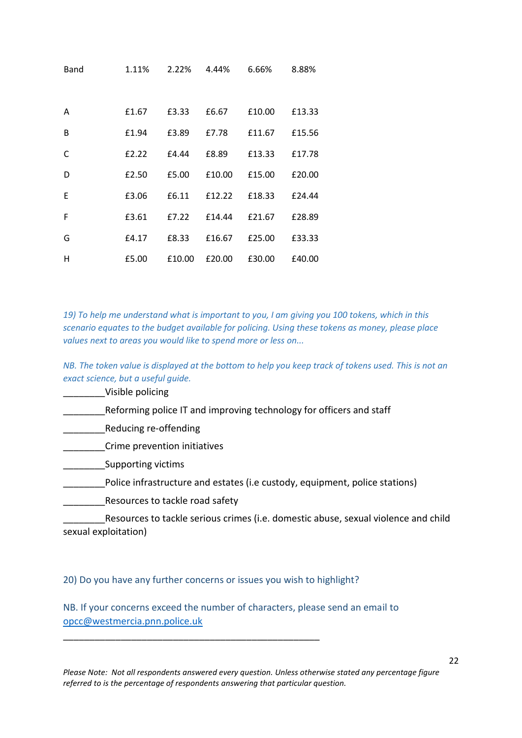| Band         | 1.11% | 2.22%  | 4.44%  | 6.66%  | 8.88%  |
|--------------|-------|--------|--------|--------|--------|
|              |       |        |        |        |        |
| A            | £1.67 | £3.33  | £6.67  | £10.00 | £13.33 |
| <sub>B</sub> | £1.94 | £3.89  | £7.78  | £11.67 | £15.56 |
| C            | £2.22 | £4.44  | £8.89  | £13.33 | £17.78 |
| D            | £2.50 | £5.00  | £10.00 | £15.00 | £20.00 |
| E            | £3.06 | £6.11  | £12.22 | £18.33 | £24.44 |
| F            | £3.61 | £7.22  | £14.44 | £21.67 | £28.89 |
| G            | £4.17 | £8.33  | £16.67 | £25.00 | £33.33 |
| H            | £5.00 | £10.00 | £20.00 | £30.00 | £40.00 |

*19) To help me understand what is important to you, I am giving you 100 tokens, which in this scenario equates to the budget available for policing. Using these tokens as money, please place values next to areas you would like to spend more or less on...*

*NB. The token value is displayed at the bottom to help you keep track of tokens used. This is not an exact science, but a useful guide.*

\_\_\_\_\_\_\_\_Visible policing

Reforming police IT and improving technology for officers and staff

\_\_\_\_\_\_\_\_Reducing re-offending

\_\_\_\_\_\_\_\_Crime prevention initiatives

\_\_\_\_\_\_\_\_Supporting victims

\_\_\_\_\_\_\_\_Police infrastructure and estates (i.e custody, equipment, police stations)

Resources to tackle road safety

\_\_\_\_\_\_\_\_Resources to tackle serious crimes (i.e. domestic abuse, sexual violence and child sexual exploitation)

20) Do you have any further concerns or issues you wish to highlight?

\_\_\_\_\_\_\_\_\_\_\_\_\_\_\_\_\_\_\_\_\_\_\_\_\_\_\_\_\_\_\_\_\_\_\_\_\_\_\_\_\_\_\_\_\_\_\_\_\_

NB. If your concerns exceed the number of characters, please send an email to [opcc@westmercia.pnn.police.uk](mailto:opcc@westmercia.pnn.police.uk)